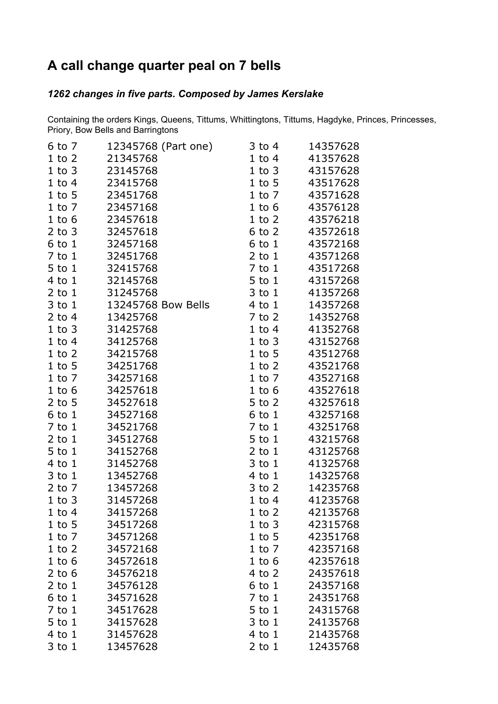## **A call change quarter peal on 7 bells**

## *changes in five parts. Composed by James Kerslake*

Containing the orders Kings, Queens, Tittums, Whittingtons, Tittums, Hagdyke, Princes, Princesses, Priory, Bow Bells and Barringtons

| 6 to 7     | 12345768 (Part one) | $3$ to $4$ | 14357628 |
|------------|---------------------|------------|----------|
| $1$ to $2$ | 21345768            | $1$ to $4$ | 41357628 |
| $1$ to $3$ | 23145768            | $1$ to $3$ | 43157628 |
| $1$ to $4$ | 23415768            | $1$ to 5   | 43517628 |
| $1$ to 5   | 23451768            | $1$ to $7$ | 43571628 |
| $1$ to $7$ | 23457168            | $1$ to $6$ | 43576128 |
| $1$ to $6$ | 23457618            | $1$ to $2$ | 43576218 |
| $2$ to $3$ | 32457618            | $6$ to $2$ | 43572618 |
| $6$ to $1$ | 32457168            | $6$ to $1$ | 43572168 |
| $7$ to $1$ | 32451768            | $2$ to $1$ | 43571268 |
| $5$ to $1$ | 32415768            | $7$ to $1$ | 43517268 |
| $4$ to $1$ | 32145768            | 5 to 1     | 43157268 |
| $2$ to $1$ | 31245768            | $3$ to $1$ | 41357268 |
| $3$ to $1$ | 13245768 Bow Bells  | 4 to 1     | 14357268 |
| $2$ to 4   | 13425768            | $7$ to $2$ | 14352768 |
| $1$ to $3$ | 31425768            | $1$ to $4$ | 41352768 |
| $1$ to $4$ | 34125768            | $1$ to $3$ | 43152768 |
| $1$ to $2$ | 34215768            | $1$ to 5   | 43512768 |
| $1$ to $5$ | 34251768            | $1$ to $2$ | 43521768 |
| $1$ to $7$ | 34257168            | $1$ to $7$ | 43527168 |
| $1$ to $6$ | 34257618            | $1$ to $6$ | 43527618 |
| $2$ to 5   | 34527618            | $5$ to $2$ | 43257618 |
| $6$ to $1$ | 34527168            | $6$ to $1$ | 43257168 |
| $7$ to $1$ | 34521768            | $7$ to $1$ | 43251768 |
| $2$ to $1$ | 34512768            | $5$ to $1$ | 43215768 |
| $5$ to $1$ | 34152768            | $2$ to $1$ | 43125768 |
| 4 to 1     | 31452768            | 3 to 1     | 41325768 |
| $3$ to $1$ | 13452768            | $4$ to $1$ | 14325768 |
| $2$ to $7$ | 13457268            | $3$ to $2$ | 14235768 |
| $1$ to $3$ | 31457268            | $1$ to $4$ | 41235768 |
| $1$ to $4$ | 34157268            | $1$ to $2$ | 42135768 |
| $1$ to 5   | 34517268            | $1$ to $3$ | 42315768 |
| $1$ to $7$ | 34571268            | $1$ to $5$ | 42351768 |
| $1$ to $2$ | 34572168            | 1 to 7     | 42357168 |
| $1$ to $6$ | 34572618            | $1$ to $6$ | 42357618 |
| $2$ to 6   | 34576218            | 4 to 2     | 24357618 |
| $2$ to $1$ | 34576128            | $6$ to $1$ | 24357168 |
| $6$ to $1$ | 34571628            | $7$ to $1$ | 24351768 |
| $7$ to $1$ | 34517628            | 5 to 1     | 24315768 |
| $5$ to $1$ | 34157628            | $3$ to $1$ | 24135768 |
| 4 to 1     | 31457628            | 4 to 1     | 21435768 |
| $3$ to $1$ | 13457628            | $2$ to $1$ | 12435768 |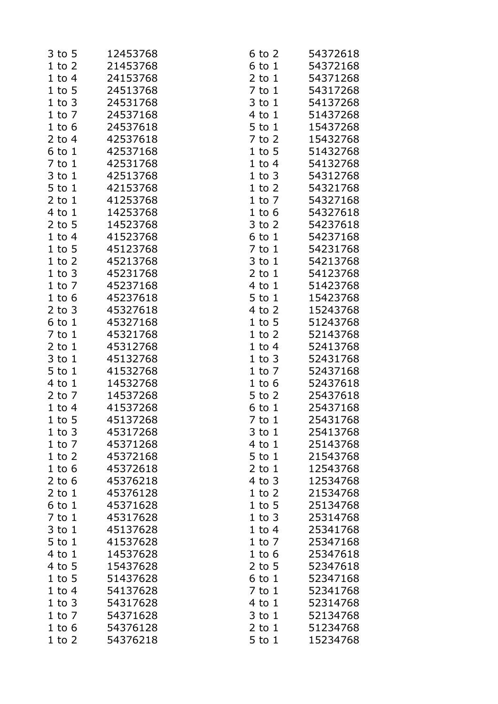| 3 to 5     | 12453768 | $6$ to $2$               | 54372618             |
|------------|----------|--------------------------|----------------------|
| $1$ to $2$ | 21453768 | $6$ to $1$               | 54372168             |
| $1$ to $4$ | 24153768 | $2$ to $1$               | 54371268             |
| $1$ to $5$ | 24513768 | $7$ to $1$               | 54317268             |
| $1$ to $3$ | 24531768 | $3$ to $1$               | 54137268             |
| $1$ to $7$ | 24537168 | $4$ to $1$               | 51437268             |
| $1$ to $6$ | 24537618 | 5 to 1                   | 15437268             |
| $2$ to 4   | 42537618 | 7 to 2                   | 15432768             |
| $6$ to $1$ | 42537168 | $1$ to $5$               | 51432768             |
| $7$ to $1$ | 42531768 | $1$ to $4$               | 54132768             |
| $3$ to $1$ | 42513768 | $1$ to $3$               | 54312768             |
| $5$ to $1$ | 42153768 | $1$ to $2$               | 54321768             |
| $2$ to $1$ | 41253768 | $1$ to $7$               | 54327168             |
| 4 to 1     | 14253768 | $1$ to $6$               | 54327618             |
| $2$ to 5   | 14523768 | $3$ to $2$               | 54237618             |
| $1$ to $4$ | 41523768 | $6$ to $1$               | 54237168             |
| $1$ to $5$ | 45123768 | $7$ to $1$               | 54231768             |
| $1$ to $2$ | 45213768 | $3$ to $1$               | 54213768             |
| $1$ to $3$ | 45231768 | $2$ to $1$               | 54123768             |
| $1$ to $7$ | 45237168 | $4$ to $1$               | 51423768             |
| $1$ to $6$ | 45237618 | $5$ to $1$               | 15423768             |
| $2$ to $3$ | 45327618 | $4$ to $2$               | 15243768             |
| $6$ to $1$ | 45327168 | $1$ to $5$               | 51243768             |
| $7$ to $1$ | 45321768 | $1$ to $2$               | 52143768             |
| $2$ to $1$ | 45312768 | $1$ to $4$               | 52413768             |
| $3$ to $1$ | 45132768 | $1$ to $3$               | 52431768             |
| $5$ to $1$ | 41532768 | $1$ to $7$               | 52437168             |
| 4 to 1     | 14532768 | $1$ to $6$               | 52437618             |
| $2$ to $7$ | 14537268 | 5 to 2                   | 25437618             |
|            | 41537268 |                          | 25437168             |
| $1$ to $4$ | 45137268 | $6$ to $1$<br>$7$ to $1$ | 25431768             |
| $1$ to 5   |          |                          | 25413768             |
| $1$ to $3$ | 45317268 | $3$ to $1$               | 25143768             |
| $1$ to $7$ | 45371268 | $4$ to $1$               |                      |
| $1$ to $2$ | 45372168 | $5$ to $1$               | 21543768<br>12543768 |
| $1$ to $6$ | 45372618 | $2$ to $1$               |                      |
| $2$ to 6   | 45376218 | $4$ to $3$               | 12534768             |
| $2$ to $1$ | 45376128 | $1$ to $2$               | 21534768             |
| $6$ to $1$ | 45371628 | $1$ to $5$               | 25134768             |
| $7$ to $1$ | 45317628 | $1$ to $3$               | 25314768             |
| $3$ to $1$ | 45137628 | $1$ to $4$               | 25341768             |
| $5$ to $1$ | 41537628 | $1$ to $7$               | 25347168             |
| $4$ to $1$ | 14537628 | $1$ to $6$               | 25347618             |
| $4$ to 5   | 15437628 | $2$ to 5                 | 52347618             |
| $1$ to 5   | 51437628 | $6$ to $1$               | 52347168             |
| $1$ to $4$ | 54137628 | $7$ to $1$               | 52341768             |
| $1$ to $3$ | 54317628 | $4$ to $1$               | 52314768             |
| $1$ to $7$ | 54371628 | $3$ to $1$               | 52134768             |
| $1$ to $6$ | 54376128 | $2$ to $1$               | 51234768             |
| $1$ to $2$ | 54376218 | $5$ to $1$               | 15234768             |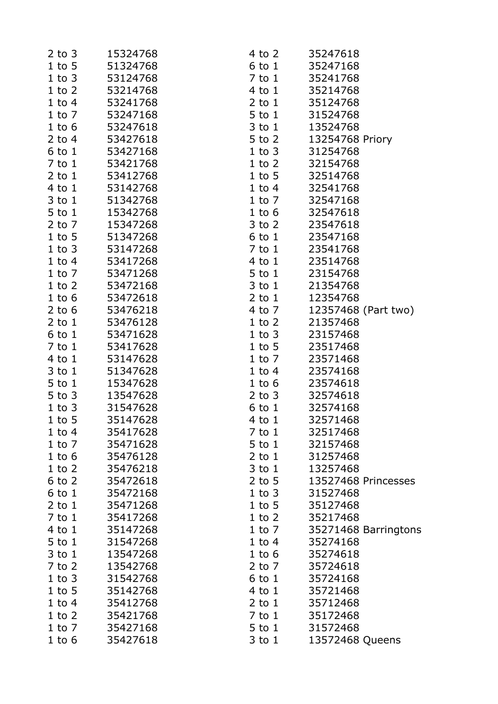| $2$ to $3$ | 15324768 | 4 to 2     | 35247618             |
|------------|----------|------------|----------------------|
| $1$ to 5   | 51324768 | $6$ to $1$ | 35247168             |
| $1$ to $3$ | 53124768 | $7$ to $1$ | 35241768             |
| $1$ to $2$ | 53214768 | 4 to 1     | 35214768             |
| $1$ to $4$ | 53241768 | $2$ to $1$ | 35124768             |
| $1$ to $7$ | 53247168 | $5$ to $1$ | 31524768             |
| $1$ to $6$ | 53247618 | $3$ to $1$ | 13524768             |
| 2 to $4$   | 53427618 | $5$ to $2$ | 13254768 Priory      |
| $6$ to $1$ | 53427168 | 1 to 3     | 31254768             |
| $7$ to $1$ | 53421768 | $1$ to $2$ | 32154768             |
| $2$ to $1$ | 53412768 | 1 to 5     | 32514768             |
| $4$ to $1$ | 53142768 | $1$ to $4$ | 32541768             |
| $3$ to $1$ | 51342768 | $1$ to $7$ | 32547168             |
| $5$ to $1$ | 15342768 | $1$ to $6$ | 32547618             |
| $2$ to $7$ | 15347268 | $3$ to $2$ | 23547618             |
| $1$ to $5$ | 51347268 | 6 to 1     | 23547168             |
| $1$ to $3$ | 53147268 | $7$ to $1$ | 23541768             |
| $1$ to $4$ | 53417268 | $4$ to $1$ | 23514768             |
| $1$ to $7$ | 53471268 | $5$ to $1$ | 23154768             |
| $1$ to $2$ | 53472168 | $3$ to $1$ | 21354768             |
| $1$ to $6$ | 53472618 | $2$ to $1$ | 12354768             |
| 2 to $6$   | 53476218 | $4$ to $7$ | 12357468 (Part two)  |
| $2$ to $1$ | 53476128 | $1$ to $2$ | 21357468             |
| $6$ to $1$ | 53471628 | $1$ to $3$ | 23157468             |
| $7$ to $1$ | 53417628 | $1$ to $5$ | 23517468             |
| $4$ to $1$ | 53147628 | $1$ to $7$ | 23571468             |
| $3$ to $1$ | 51347628 | $1$ to $4$ | 23574168             |
| $5$ to $1$ | 15347628 | $1$ to $6$ | 23574618             |
| $5$ to $3$ | 13547628 | $2$ to $3$ | 32574618             |
| $1$ to $3$ | 31547628 | $6$ to $1$ | 32574168             |
| $1$ to $5$ | 35147628 | $4$ to $1$ | 32571468             |
| $1$ to $4$ | 35417628 | $7$ to $1$ | 32517468             |
| $1$ to $7$ | 35471628 | $5$ to $1$ | 32157468             |
| $1$ to $6$ | 35476128 | $2$ to $1$ | 31257468             |
| $1$ to $2$ | 35476218 | $3$ to $1$ | 13257468             |
| $6$ to $2$ | 35472618 | 2 to $5$   | 13527468 Princesses  |
| $6$ to $1$ | 35472168 | $1$ to $3$ | 31527468             |
| $2$ to $1$ | 35471268 | $1$ to $5$ | 35127468             |
| $7$ to $1$ | 35417268 | $1$ to $2$ | 35217468             |
| $4$ to $1$ | 35147268 | $1$ to $7$ | 35271468 Barringtons |
| $5$ to $1$ | 31547268 | $1$ to $4$ | 35274168             |
| $3$ to $1$ | 13547268 | $1$ to $6$ | 35274618             |
| $7$ to $2$ | 13542768 | $2$ to $7$ | 35724618             |
| $1$ to $3$ | 31542768 | $6$ to $1$ | 35724168             |
| $1$ to 5   | 35142768 | $4$ to $1$ | 35721468             |
| $1$ to $4$ | 35412768 | $2$ to $1$ | 35712468             |
| $1$ to $2$ | 35421768 | $7$ to $1$ | 35172468             |
| $1$ to $7$ | 35427168 | $5$ to $1$ | 31572468             |
| $1$ to $6$ | 35427618 | $3$ to $1$ | 13572468 Queens      |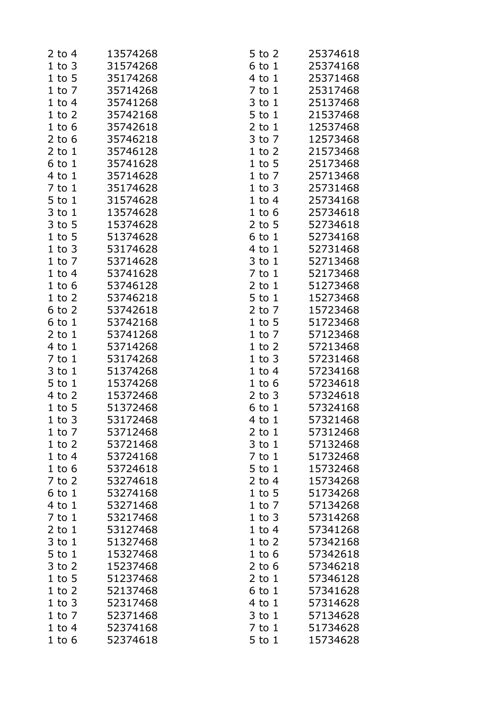| $2$ to 4                 | 13574268             | 5 to 2                   | 25374618             |
|--------------------------|----------------------|--------------------------|----------------------|
| $1$ to $3$               | 31574268             | $6$ to $1$               | 25374168             |
| $1$ to 5                 | 35174268             | $4$ to $1$               | 25371468             |
| $1$ to $7$               | 35714268             | $7$ to $1$               | 25317468             |
| $1$ to $4$               | 35741268             | $3$ to $1$               | 25137468             |
| $1$ to $2$               | 35742168             | $5$ to $1$               | 21537468             |
| $1$ to $6$               | 35742618             | $2$ to $1$               | 12537468             |
| $2$ to 6                 | 35746218             | 3 to 7                   | 12573468             |
| $2$ to $1$               | 35746128             | $1$ to $2$               | 21573468             |
| $6$ to $1$               | 35741628             | $1$ to 5                 | 25173468             |
| $4$ to $1$               | 35714628             | $1$ to $7$               | 25713468             |
| $7$ to $1$               | 35174628             | $1$ to $3$               | 25731468             |
| 5 to 1                   | 31574628             | $1$ to $4$               | 25734168             |
| $3$ to $1$               | 13574628             | $1$ to $6$               | 25734618             |
| $3$ to $5$               | 15374628             | $2$ to 5                 | 52734618             |
| $1$ to $5$               | 51374628             | $6$ to $1$               | 52734168             |
| $1$ to $3$               | 53174628             | $4$ to $1$               | 52731468             |
| $1$ to $7$               | 53714628             | $3$ to $1$               | 52713468             |
| $1$ to $4$               | 53741628             | $7$ to $1$               | 52173468             |
| $1$ to $6$               | 53746128             | $2$ to $1$               | 51273468             |
| $1$ to $2$               | 53746218             | 5 to 1                   | 15273468             |
| $6$ to $2$               | 53742618             | $2$ to $7$               | 15723468             |
| $6$ to $1$               | 53742168             | $1$ to 5                 | 51723468             |
| $2$ to $1$               | 53741268             | $1$ to $7$               | 57123468             |
| $4$ to $1$               | 53714268             | $1$ to $2$               | 57213468             |
| $7$ to $1$               | 53174268             | $1$ to $3$               | 57231468             |
| $3$ to $1$               | 51374268             | $1$ to $4$               | 57234168             |
| $5$ to $1$               | 15374268             | $1$ to $6$               | 57234618             |
| $4$ to $2$               | 15372468             | $2$ to $3$               | 57324618             |
| $1$ to $5$               | 51372468             | $6$ to $1$               | 57324168             |
| $1$ to $3$               | 53172468             |                          |                      |
|                          | 53712468             | 4 to 1                   | 57321468<br>57312468 |
| $1$ to $7$<br>$1$ to $2$ | 53721468             | $2$ to $1$<br>$3$ to $1$ | 57132468             |
| $1$ to $4$               | 53724168             | $7$ to $1$               | 51732468             |
| $1$ to $6$               | 53724618             | $5$ to $1$               | 15732468             |
|                          | 53274618             |                          |                      |
| $7$ to $2$               |                      | $2$ to 4                 | 15734268             |
| $6$ to $1$<br>$4$ to $1$ | 53274168<br>53271468 | $1$ to $5$               | 51734268<br>57134268 |
|                          |                      | $1$ to $7$               |                      |
| $7$ to $1$               | 53217468             | $1$ to $3$               | 57314268             |
| $2$ to $1$               | 53127468             | $1$ to $4$               | 57341268             |
| $3$ to $1$               | 51327468             | $1$ to $2$               | 57342168             |
| $5$ to $1$               | 15327468             | $1$ to $6$               | 57342618             |
| $3$ to $2$               | 15237468             | $2$ to 6                 | 57346218             |
| $1$ to $5$               | 51237468             | $2$ to $1$               | 57346128             |
| $1$ to $2$               | 52137468             | $6$ to $1$               | 57341628             |
| $1$ to $3$               | 52317468             | $4$ to $1$               | 57314628             |
| $1$ to $7$               | 52371468             | $3$ to $1$               | 57134628             |
| $1$ to $4$               | 52374168             | $7$ to $1$               | 51734628             |
| $1$ to $6$               | 52374618             | $5$ to $1$               | 15734628             |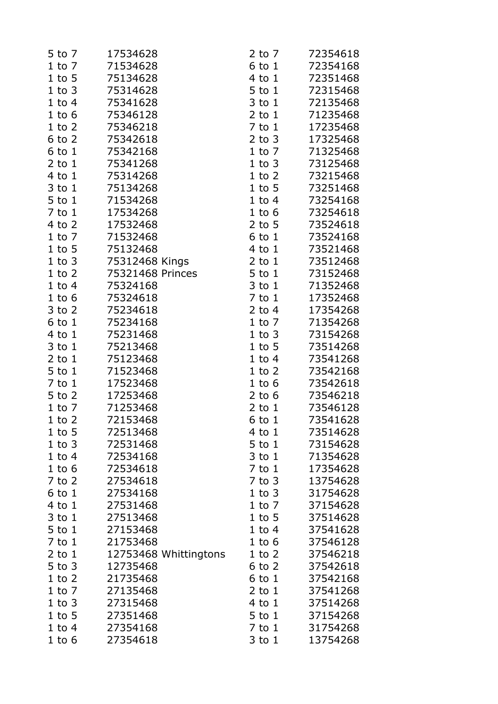| 5 to 7     | 17534628              | $2$ to $7$ | 72354618 |
|------------|-----------------------|------------|----------|
| $1$ to $7$ | 71534628              | 6 to 1     | 72354168 |
| $1$ to 5   | 75134628              | 4 to 1     | 72351468 |
| $1$ to $3$ | 75314628              | 5 to 1     | 72315468 |
| $1$ to $4$ | 75341628              | 3 to 1     | 72135468 |
| $1$ to $6$ | 75346128              | $2$ to $1$ | 71235468 |
| $1$ to $2$ | 75346218              | $7$ to $1$ | 17235468 |
| $6$ to $2$ | 75342618              | $2$ to $3$ | 17325468 |
| $6$ to $1$ | 75342168              | $1$ to $7$ | 71325468 |
| $2$ to $1$ | 75341268              | $1$ to $3$ | 73125468 |
| $4$ to $1$ | 75314268              | $1$ to $2$ | 73215468 |
| $3$ to $1$ | 75134268              | $1$ to $5$ | 73251468 |
| $5$ to $1$ | 71534268              | $1$ to $4$ | 73254168 |
| 7 to 1     | 17534268              | $1$ to $6$ | 73254618 |
| $4$ to $2$ | 17532468              | $2$ to 5   | 73524618 |
| $1$ to $7$ | 71532468              | 6 to 1     | 73524168 |
| $1$ to $5$ | 75132468              | $4$ to $1$ | 73521468 |
| $1$ to $3$ | 75312468 Kings        | $2$ to $1$ | 73512468 |
| $1$ to $2$ | 75321468 Princes      | 5 to 1     | 73152468 |
| $1$ to $4$ | 75324168              | 3 to 1     | 71352468 |
| $1$ to $6$ | 75324618              | $7$ to $1$ | 17352468 |
| 3 to 2     | 75234618              | $2$ to 4   | 17354268 |
| $6$ to $1$ | 75234168              | $1$ to $7$ | 71354268 |
| 4 to 1     | 75231468              | $1$ to $3$ | 73154268 |
| $3$ to $1$ | 75213468              | $1$ to $5$ | 73514268 |
| $2$ to $1$ | 75123468              | $1$ to $4$ | 73541268 |
| 5 to 1     | 71523468              | $1$ to $2$ | 73542168 |
| $7$ to $1$ | 17523468              | $1$ to $6$ | 73542618 |
| 5 to 2     | 17253468              | $2$ to $6$ | 73546218 |
| $1$ to $7$ | 71253468              | $2$ to $1$ | 73546128 |
| $1$ to $2$ | 72153468              | 6 to 1     | 73541628 |
|            |                       |            |          |
| $1$ to 5   | 72513468              | 4 to 1     | 73514628 |
| $1$ to $3$ | 72531468              | $5$ to $1$ | 73154628 |
| $1$ to $4$ | 72534168              | 3 to 1     | 71354628 |
| $1$ to $6$ | 72534618              | $7$ to $1$ | 17354628 |
| $7$ to $2$ | 27534618              | $7$ to $3$ | 13754628 |
| $6$ to $1$ | 27534168              | $1$ to $3$ | 31754628 |
| $4$ to $1$ | 27531468              | $1$ to $7$ | 37154628 |
| $3$ to $1$ | 27513468              | $1$ to $5$ | 37514628 |
| 5 to 1     | 27153468              | $1$ to $4$ | 37541628 |
| $7$ to $1$ | 21753468              | $1$ to $6$ | 37546128 |
| $2$ to $1$ | 12753468 Whittingtons | $1$ to $2$ | 37546218 |
| $5$ to $3$ | 12735468              | $6$ to $2$ | 37542618 |
| $1$ to $2$ | 21735468              | 6 to 1     | 37542168 |
| $1$ to $7$ | 27135468              | $2$ to $1$ | 37541268 |
| $1$ to $3$ | 27315468              | $4$ to $1$ | 37514268 |
| $1$ to $5$ | 27351468              | 5 to 1     | 37154268 |
| $1$ to $4$ | 27354168              | $7$ to $1$ | 31754268 |
| $1$ to $6$ | 27354618              | $3$ to $1$ | 13754268 |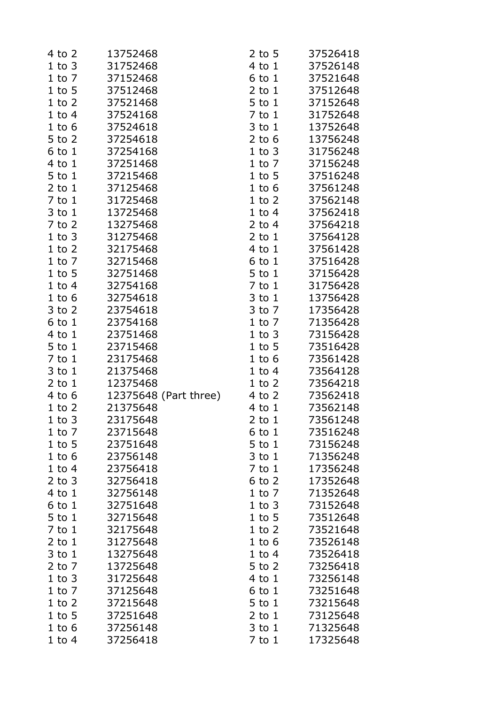| 4 to 2     | 13752468              | $2$ to 5   | 37526418 |
|------------|-----------------------|------------|----------|
| $1$ to $3$ | 31752468              | $4$ to $1$ | 37526148 |
| $1$ to $7$ | 37152468              | $6$ to $1$ | 37521648 |
| $1$ to 5   | 37512468              | $2$ to $1$ | 37512648 |
| $1$ to $2$ | 37521468              | $5$ to $1$ | 37152648 |
| $1$ to $4$ | 37524168              | $7$ to $1$ | 31752648 |
| $1$ to $6$ | 37524618              | $3$ to $1$ | 13752648 |
| $5$ to $2$ | 37254618              | $2$ to 6   | 13756248 |
| $6$ to $1$ | 37254168              | $1$ to $3$ | 31756248 |
| 4 to 1     | 37251468              | $1$ to $7$ | 37156248 |
| $5$ to $1$ | 37215468              | $1$ to $5$ | 37516248 |
|            |                       | $1$ to $6$ |          |
| $2$ to $1$ | 37125468              |            | 37561248 |
| $7$ to $1$ | 31725468              | $1$ to $2$ | 37562148 |
| $3$ to $1$ | 13725468              | $1$ to $4$ | 37562418 |
| $7$ to $2$ | 13275468              | $2$ to 4   | 37564218 |
| $1$ to $3$ | 31275468              | $2$ to $1$ | 37564128 |
| $1$ to $2$ | 32175468              | $4$ to $1$ | 37561428 |
| $1$ to $7$ | 32715468              | $6$ to $1$ | 37516428 |
| $1$ to $5$ | 32751468              | 5 to 1     | 37156428 |
| $1$ to $4$ | 32754168              | $7$ to $1$ | 31756428 |
| $1$ to $6$ | 32754618              | $3$ to $1$ | 13756428 |
| $3$ to $2$ | 23754618              | 3 to 7     | 17356428 |
| $6$ to $1$ | 23754168              | $1$ to $7$ | 71356428 |
| 4 to 1     | 23751468              | $1$ to $3$ | 73156428 |
| $5$ to $1$ | 23715468              | $1$ to $5$ | 73516428 |
| $7$ to $1$ | 23175468              | $1$ to $6$ | 73561428 |
| $3$ to $1$ | 21375468              | $1$ to $4$ | 73564128 |
| $2$ to $1$ | 12375468              | $1$ to $2$ | 73564218 |
| $4$ to $6$ | 12375648 (Part three) | $4$ to $2$ | 73562418 |
| $1$ to $2$ | 21375648              | $4$ to $1$ | 73562148 |
| $1$ to $3$ | 23175648              | 2 to 1     | 73561248 |
| $1$ to $7$ | 23715648              | $6$ to $1$ | 73516248 |
| $1$ to 5   | 23751648              | 5 to 1     | 73156248 |
| $1$ to $6$ | 23756148              | $3$ to $1$ | 71356248 |
| $1$ to $4$ | 23756418              | $7$ to $1$ | 17356248 |
| $2$ to $3$ | 32756418              | $6$ to $2$ | 17352648 |
| $4$ to $1$ | 32756148              | $1$ to $7$ | 71352648 |
| $6$ to $1$ | 32751648              | $1$ to $3$ | 73152648 |
| $5$ to $1$ | 32715648              | $1$ to $5$ | 73512648 |
| 7 to 1     | 32175648              | $1$ to $2$ | 73521648 |
| $2$ to $1$ | 31275648              | $1$ to $6$ | 73526148 |
| $3$ to $1$ | 13275648              | $1$ to $4$ | 73526418 |
| $2$ to $7$ | 13725648              | 5 to 2     | 73256418 |
| $1$ to $3$ | 31725648              | 4 to 1     | 73256148 |
| $1$ to $7$ | 37125648              | $6$ to $1$ | 73251648 |
| $1$ to $2$ | 37215648              | $5$ to $1$ | 73215648 |
| $1$ to $5$ | 37251648              | $2$ to $1$ | 73125648 |
| $1$ to $6$ | 37256148              | $3$ to $1$ | 71325648 |
| $1$ to $4$ | 37256418              | 7 to 1     | 17325648 |
|            |                       |            |          |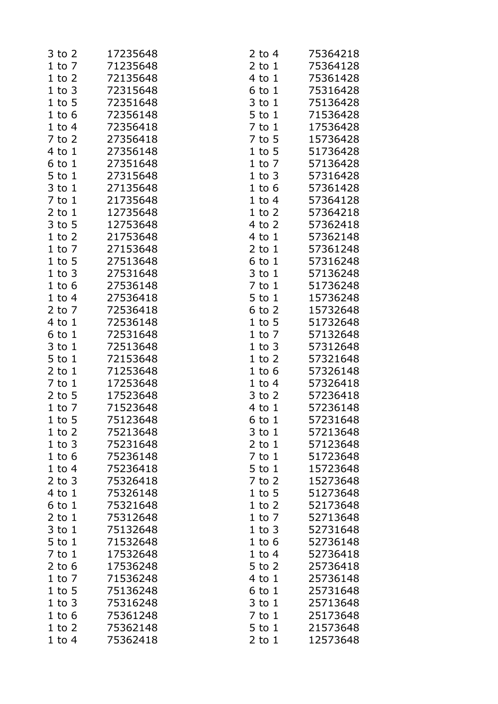| $3$ to $2$             | 17235648 | $2$ to 4             | 75364218             |
|------------------------|----------|----------------------|----------------------|
| $1$ to $7$             | 71235648 | $2$ to $1$           | 75364128             |
| $1$ to $2$             | 72135648 | 4 to 1               | 75361428             |
| $1$ to $3$             | 72315648 | $6$ to $1$           | 75316428             |
| $1$ to $5$             | 72351648 | $3$ to $1$           | 75136428             |
| $1$ to $6$             | 72356148 | $5$ to $1$           | 71536428             |
| $1$ to $4$             | 72356418 | $7$ to $1$           | 17536428             |
| $7$ to $2$             | 27356418 | 7 to 5               | 15736428             |
| 4 to 1                 | 27356148 | $1$ to 5             | 51736428             |
| $6$ to $1$             | 27351648 | $1$ to $7$           | 57136428             |
| $5$ to $1$             | 27315648 | $1$ to $3$           | 57316428             |
| $3$ to $1$             | 27135648 | $1$ to $6$           | 57361428             |
| $7$ to $1$             | 21735648 | $1$ to $4$           | 57364128             |
| $2$ to $1$             | 12735648 | $1$ to $2$           | 57364218             |
| $3$ to $5$             | 12753648 | $4$ to $2$           | 57362418             |
| $1$ to $2$             | 21753648 | 4 to 1               | 57362148             |
| $1$ to $7$             | 27153648 | $2$ to $1$           | 57361248             |
| $1$ to $5$             | 27513648 | $6$ to $1$           | 57316248             |
| $1$ to $3$             | 27531648 | $3$ to $1$           | 57136248             |
| $1$ to $6$             | 27536148 | $7$ to $1$           | 51736248             |
| $1$ to $4$             | 27536418 | 5 to 1               | 15736248             |
| $2$ to $7$             | 72536418 | $6$ to $2$           | 15732648             |
| 4 to 1                 | 72536148 | $1$ to 5             | 51732648             |
| $6$ to $1$             | 72531648 | $1$ to $7$           | 57132648             |
| $3$ to $1$             | 72513648 | $1$ to $3$           | 57312648             |
| $5$ to $1$             | 72153648 | $1$ to $2$           | 57321648             |
| $2$ to $1$             | 71253648 | $1$ to $6$           | 57326148             |
| $7$ to $1$             | 17253648 | $1$ to $4$           | 57326418             |
| $2$ to 5               | 17523648 | $3$ to $2$           | 57236418             |
| $1$ to $7$             | 71523648 | 4 to 1               | 57236148             |
|                        | 75123648 |                      |                      |
| $1$ to 5<br>$1$ to $2$ | 75213648 | 6 to 1               | 57231648<br>57213648 |
| $1$ to $3$             | 75231648 | 3 to 1<br>$2$ to $1$ | 57123648             |
| $1$ to $6$             | 75236148 | $7$ to $1$           | 51723648             |
| $1$ to $4$             | 75236418 | 5 to 1               | 15723648             |
| $2$ to $3$             | 75326418 | $7$ to $2$           | 15273648             |
| $4$ to $1$             | 75326148 | $1$ to 5             | 51273648             |
| $6$ to $1$             | 75321648 | $1$ to $2$           | 52173648             |
| $2$ to $1$             | 75312648 | $1$ to $7$           | 52713648             |
| $3$ to $1$             | 75132648 | $1$ to $3$           | 52731648             |
| $5$ to $1$             | 71532648 | $1$ to $6$           | 52736148             |
| $7$ to $1$             | 17532648 |                      | 52736418             |
|                        | 17536248 | $1$ to $4$           |                      |
| $2$ to 6               |          | $5$ to $2$           | 25736418             |
| $1$ to $7$             | 71536248 | 4 to 1               | 25736148             |
| $1$ to 5               | 75136248 | $6$ to $1$           | 25731648             |
| $1$ to $3$             | 75316248 | $3$ to $1$           | 25713648             |
| $1$ to $6$             | 75361248 | $7$ to $1$           | 25173648             |
| $1$ to $2$             | 75362148 | $5$ to $1$           | 21573648             |
| $1$ to $4$             | 75362418 | $2$ to $1$           | 12573648             |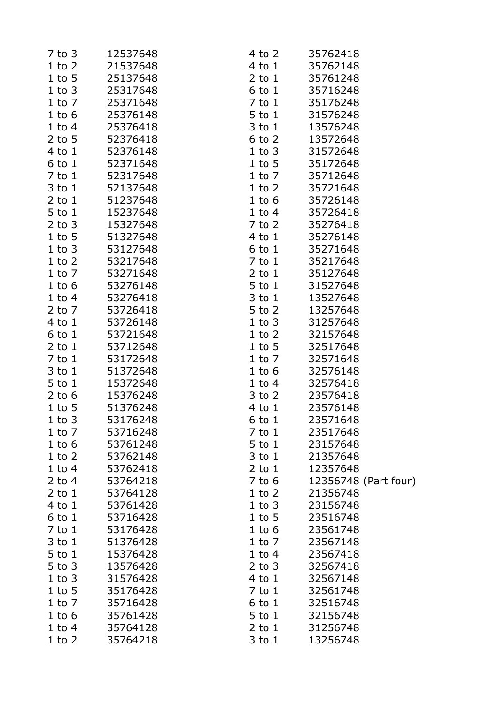| $7$ to $3$ | 12537648 | $4$ to $2$ | 35762418             |
|------------|----------|------------|----------------------|
| $1$ to $2$ | 21537648 | $4$ to $1$ | 35762148             |
| $1$ to $5$ | 25137648 | $2$ to $1$ | 35761248             |
| $1$ to $3$ | 25317648 | 6 to 1     | 35716248             |
| $1$ to $7$ | 25371648 | $7$ to $1$ | 35176248             |
| $1$ to $6$ | 25376148 | 5 to 1     | 31576248             |
| $1$ to $4$ | 25376418 | $3$ to $1$ | 13576248             |
| $2$ to 5   | 52376418 | $6$ to $2$ | 13572648             |
| $4$ to $1$ | 52376148 | $1$ to $3$ | 31572648             |
| $6$ to $1$ | 52371648 | $1$ to $5$ | 35172648             |
| $7$ to $1$ | 52317648 | $1$ to $7$ | 35712648             |
| $3$ to $1$ | 52137648 | $1$ to $2$ | 35721648             |
| $2$ to $1$ | 51237648 | $1$ to $6$ | 35726148             |
| $5$ to $1$ | 15237648 | $1$ to $4$ | 35726418             |
| $2$ to $3$ | 15327648 | 7 to 2     | 35276418             |
| $1$ to $5$ | 51327648 | $4$ to $1$ | 35276148             |
| $1$ to $3$ | 53127648 | $6$ to $1$ | 35271648             |
| $1$ to $2$ | 53217648 | $7$ to $1$ | 35217648             |
| $1$ to $7$ | 53271648 | $2$ to $1$ | 35127648             |
| $1$ to $6$ | 53276148 | $5$ to $1$ | 31527648             |
| $1$ to $4$ | 53276418 | $3$ to $1$ | 13527648             |
| $2$ to $7$ | 53726418 | $5$ to $2$ | 13257648             |
| 4 to 1     | 53726148 | $1$ to $3$ | 31257648             |
| $6$ to $1$ | 53721648 | $1$ to $2$ | 32157648             |
| $2$ to $1$ | 53712648 | $1$ to $5$ | 32517648             |
| $7$ to $1$ | 53172648 | $1$ to $7$ | 32571648             |
| $3$ to $1$ | 51372648 | $1$ to $6$ | 32576148             |
| $5$ to $1$ | 15372648 | $1$ to $4$ | 32576418             |
| 2 to $6$   | 15376248 | $3$ to $2$ | 23576418             |
| $1$ to $5$ | 51376248 | 4 to 1     | 23576148             |
| $1$ to $3$ | 53176248 | 6 to 1     | 23571648             |
| $1$ to $7$ | 53716248 | $7$ to $1$ | 23517648             |
| $1$ to $6$ | 53761248 | $5$ to $1$ | 23157648             |
| $1$ to $2$ | 53762148 | $3$ to $1$ | 21357648             |
| $1$ to $4$ | 53762418 | $2$ to $1$ | 12357648             |
| 2 to $4$   | 53764218 | $7$ to 6   | 12356748 (Part four) |
| $2$ to $1$ | 53764128 | $1$ to $2$ | 21356748             |
| 4 to 1     | 53761428 | $1$ to $3$ | 23156748             |
| $6$ to $1$ | 53716428 | $1$ to $5$ | 23516748             |
| $7$ to $1$ | 53176428 | $1$ to $6$ | 23561748             |
| $3$ to $1$ | 51376428 | $1$ to $7$ | 23567148             |
| $5$ to $1$ |          |            |                      |
|            | 15376428 | $1$ to $4$ | 23567418             |
| $5$ to $3$ | 13576428 | $2$ to $3$ | 32567418             |
| $1$ to $3$ | 31576428 | $4$ to $1$ | 32567148             |
| $1$ to $5$ | 35176428 | $7$ to $1$ | 32561748             |
| $1$ to $7$ | 35716428 | $6$ to $1$ | 32516748             |
| $1$ to $6$ | 35761428 | $5$ to $1$ | 32156748             |
| $1$ to $4$ | 35764128 | $2$ to $1$ | 31256748             |
| $1$ to $2$ | 35764218 | $3$ to $1$ | 13256748             |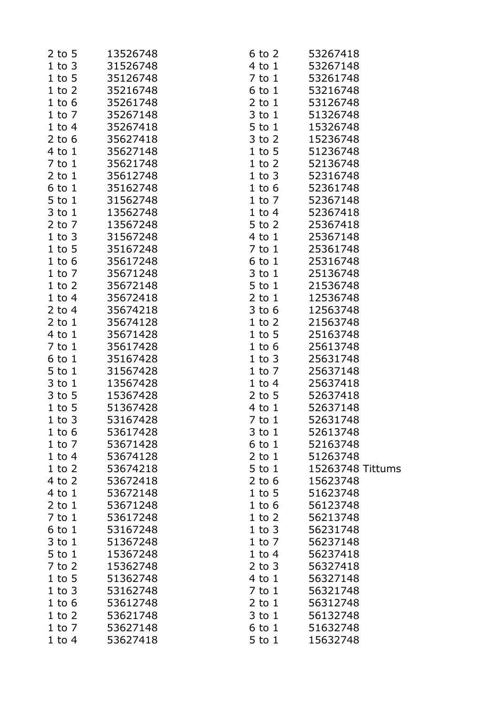| $2$ to 5   | 13526748 | 6 to 2     | 53267418         |
|------------|----------|------------|------------------|
| 1 to 3     | 31526748 | 4 to 1     | 53267148         |
| $1$ to $5$ | 35126748 | 7 to 1     | 53261748         |
| $1$ to $2$ | 35216748 | 6 to 1     | 53216748         |
| $1$ to $6$ | 35261748 | $2$ to $1$ | 53126748         |
| $1$ to $7$ | 35267148 | $3$ to $1$ | 51326748         |
| $1$ to $4$ | 35267418 | 5 to 1     | 15326748         |
| $2$ to $6$ | 35627418 | $3$ to $2$ | 15236748         |
| $4$ to $1$ | 35627148 | $1$ to $5$ | 51236748         |
| $7$ to $1$ | 35621748 | $1$ to $2$ | 52136748         |
| $2$ to $1$ | 35612748 | $1$ to $3$ | 52316748         |
| $6$ to $1$ | 35162748 | $1$ to $6$ | 52361748         |
| $5$ to $1$ | 31562748 | 1 to 7     | 52367148         |
| $3$ to $1$ | 13562748 | $1$ to $4$ | 52367418         |
| 2 to $7$   | 13567248 | $5$ to $2$ | 25367418         |
| 1 to 3     | 31567248 | 4 to 1     | 25367148         |
| $1$ to $5$ | 35167248 | 7 to 1     | 25361748         |
| $1$ to $6$ | 35617248 | 6 to 1     | 25316748         |
| $1$ to $7$ | 35671248 | $3$ to $1$ | 25136748         |
| $1$ to $2$ | 35672148 | 5 to 1     | 21536748         |
| $1$ to $4$ | 35672418 | $2$ to $1$ | 12536748         |
| 2 to $4$   | 35674218 | $3$ to $6$ | 12563748         |
| $2$ to $1$ | 35674128 | $1$ to $2$ | 21563748         |
| $4$ to $1$ | 35671428 | $1$ to $5$ | 25163748         |
| $7$ to $1$ | 35617428 | $1$ to $6$ | 25613748         |
| $6$ to $1$ | 35167428 | $1$ to $3$ | 25631748         |
| $5$ to $1$ | 31567428 | 1 to 7     | 25637148         |
| $3$ to $1$ | 13567428 | $1$ to $4$ | 25637418         |
| $3$ to $5$ | 15367428 | $2$ to $5$ | 52637418         |
| $1$ to 5   | 51367428 | 4 to 1     | 52637148         |
| $1$ to $3$ | 53167428 | $7$ to $1$ | 52631748         |
| $1$ to $6$ | 53617428 | $3$ to $1$ | 52613748         |
| $1$ to $7$ | 53671428 | $6$ to $1$ | 52163748         |
| $1$ to $4$ | 53674128 | $2$ to $1$ | 51263748         |
| $1$ to $2$ | 53674218 | $5$ to $1$ | 15263748 Tittums |
| $4$ to $2$ | 53672418 | $2$ to 6   | 15623748         |
| $4$ to $1$ | 53672148 | $1$ to $5$ | 51623748         |
| $2$ to $1$ | 53671248 | $1$ to $6$ | 56123748         |
| $7$ to $1$ | 53617248 | $1$ to $2$ | 56213748         |
| $6$ to $1$ | 53167248 | $1$ to $3$ | 56231748         |
| $3$ to $1$ | 51367248 | $1$ to $7$ | 56237148         |
| $5$ to $1$ | 15367248 | $1$ to $4$ | 56237418         |
| $7$ to $2$ | 15362748 | $2$ to $3$ | 56327418         |
| $1$ to $5$ | 51362748 | $4$ to $1$ | 56327148         |
| $1$ to $3$ | 53162748 | $7$ to $1$ | 56321748         |
| $1$ to $6$ | 53612748 | $2$ to $1$ | 56312748         |
| $1$ to $2$ | 53621748 | $3$ to $1$ | 56132748         |
| $1$ to $7$ | 53627148 | $6$ to $1$ | 51632748         |
| $1$ to $4$ | 53627418 | $5$ to $1$ | 15632748         |
|            |          |            |                  |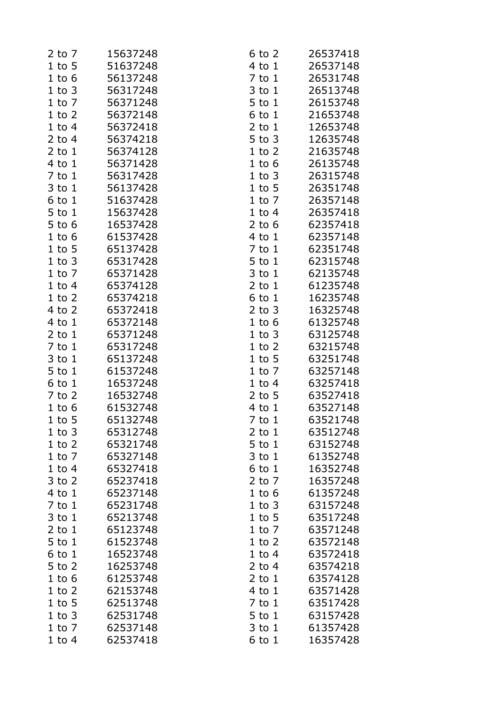| $2$ to $7$ | 15637248 | 6 to 2     | 26537418 |
|------------|----------|------------|----------|
| $1$ to $5$ | 51637248 | 4 to 1     | 26537148 |
| $1$ to $6$ | 56137248 | $7$ to $1$ | 26531748 |
| $1$ to $3$ | 56317248 | $3$ to $1$ | 26513748 |
| $1$ to $7$ | 56371248 | $5$ to $1$ | 26153748 |
| $1$ to $2$ | 56372148 | $6$ to $1$ | 21653748 |
| $1$ to $4$ | 56372418 | $2$ to $1$ | 12653748 |
| $2$ to 4   | 56374218 | $5$ to $3$ | 12635748 |
| $2$ to $1$ | 56374128 | $1$ to $2$ | 21635748 |
| 4 to 1     | 56371428 | $1$ to $6$ | 26135748 |
| $7$ to $1$ | 56317428 | $1$ to $3$ | 26315748 |
| $3$ to $1$ | 56137428 | $1$ to 5   | 26351748 |
| $6$ to $1$ | 51637428 | $1$ to $7$ | 26357148 |
| $5$ to $1$ | 15637428 | $1$ to $4$ | 26357418 |
| $5$ to $6$ | 16537428 | $2$ to 6   | 62357418 |
|            | 61537428 | $4$ to $1$ | 62357148 |
| $1$ to $6$ |          |            |          |
| $1$ to $5$ | 65137428 | $7$ to $1$ | 62351748 |
| $1$ to $3$ | 65317428 | $5$ to $1$ | 62315748 |
| $1$ to $7$ | 65371428 | $3$ to $1$ | 62135748 |
| $1$ to $4$ | 65374128 | $2$ to $1$ | 61235748 |
| $1$ to $2$ | 65374218 | $6$ to $1$ | 16235748 |
| $4$ to $2$ | 65372418 | $2$ to $3$ | 16325748 |
| 4 to 1     | 65372148 | $1$ to $6$ | 61325748 |
| $2$ to $1$ | 65371248 | $1$ to $3$ | 63125748 |
| $7$ to $1$ | 65317248 | $1$ to $2$ | 63215748 |
| $3$ to $1$ | 65137248 | $1$ to $5$ | 63251748 |
| $5$ to $1$ | 61537248 | $1$ to $7$ | 63257148 |
| $6$ to $1$ | 16537248 | $1$ to $4$ | 63257418 |
| $7$ to $2$ | 16532748 | $2$ to 5   | 63527418 |
| $1$ to $6$ | 61532748 | 4 to 1     | 63527148 |
| $1$ to 5   | 65132748 | 7 to 1     | 63521748 |
| $1$ to $3$ | 65312748 | $2$ to $1$ | 63512748 |
| $1$ to $2$ | 65321748 | $5$ to $1$ | 63152748 |
| $1$ to $7$ | 65327148 | $3$ to $1$ | 61352748 |
| $1$ to $4$ | 65327418 | $6$ to $1$ | 16352748 |
| $3$ to $2$ | 65237418 | $2$ to $7$ | 16357248 |
| $4$ to $1$ | 65237148 | $1$ to $6$ | 61357248 |
| $7$ to $1$ | 65231748 | $1$ to $3$ | 63157248 |
| $3$ to $1$ | 65213748 | $1$ to $5$ | 63517248 |
| $2$ to $1$ | 65123748 | $1$ to $7$ | 63571248 |
| $5$ to $1$ | 61523748 | $1$ to $2$ | 63572148 |
| $6$ to $1$ | 16523748 | $1$ to $4$ | 63572418 |
| $5$ to $2$ | 16253748 | $2$ to 4   | 63574218 |
| $1$ to $6$ | 61253748 | $2$ to $1$ | 63574128 |
| $1$ to $2$ | 62153748 | $4$ to $1$ | 63571428 |
| $1$ to $5$ | 62513748 | $7$ to $1$ | 63517428 |
| $1$ to $3$ | 62531748 | $5$ to $1$ | 63157428 |
| $1$ to $7$ | 62537148 | 3 to 1     | 61357428 |
| $1$ to $4$ | 62537418 | $6$ to $1$ | 16357428 |
|            |          |            |          |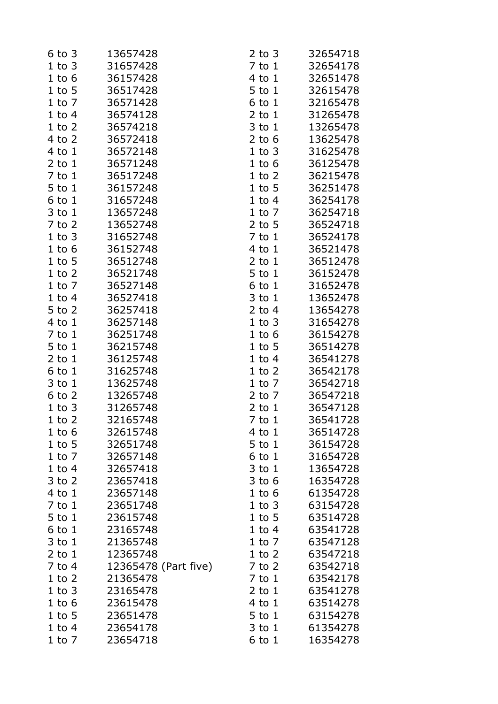| $6$ to $3$ | 13657428             | $2$ to $3$               | 32654718             |
|------------|----------------------|--------------------------|----------------------|
| $1$ to $3$ | 31657428             | $7$ to $1$               | 32654178             |
| $1$ to $6$ | 36157428             | $4$ to $1$               | 32651478             |
| $1$ to $5$ | 36517428             | 5 to 1                   | 32615478             |
| $1$ to $7$ | 36571428             | 6 to 1                   | 32165478             |
| $1$ to $4$ | 36574128             | $2$ to $1$               | 31265478             |
| $1$ to $2$ | 36574218             | $3$ to $1$               | 13265478             |
| $4$ to $2$ | 36572418             | $2$ to 6                 | 13625478             |
| $4$ to $1$ | 36572148             | $1$ to $3$               | 31625478             |
| $2$ to $1$ | 36571248             | $1$ to $6$               | 36125478             |
| $7$ to $1$ | 36517248             | $1$ to $2$               | 36215478             |
| $5$ to $1$ | 36157248             | $1$ to $5$               | 36251478             |
| 6 to 1     | 31657248             | $1$ to $4$               | 36254178             |
| 3 to 1     | 13657248             | $1$ to $7$               | 36254718             |
| $7$ to $2$ | 13652748             | $2$ to 5                 | 36524718             |
| $1$ to $3$ | 31652748             | $7$ to $1$               | 36524178             |
| $1$ to $6$ | 36152748             | $4$ to $1$               | 36521478             |
| $1$ to $5$ | 36512748             | $2$ to $1$               | 36512478             |
| $1$ to $2$ | 36521748             | 5 to 1                   | 36152478             |
| $1$ to $7$ | 36527148             | 6 to 1                   | 31652478             |
| $1$ to $4$ | 36527418             | 3 to 1                   | 13652478             |
| $5$ to $2$ | 36257418             | $2$ to 4                 | 13654278             |
| $4$ to $1$ | 36257148             | $1$ to $3$               | 31654278             |
| $7$ to $1$ | 36251748             | $1$ to $6$               | 36154278             |
| 5 to 1     | 36215748             | $1$ to $5$               | 36514278             |
| $2$ to $1$ | 36125748             | $1$ to $4$               | 36541278             |
| $6$ to $1$ | 31625748             | $1$ to $2$               | 36542178             |
| $3$ to $1$ | 13625748             | $1$ to $7$               | 36542718             |
|            | 13265748             |                          | 36547218             |
| $6$ to $2$ |                      | $2$ to $7$               |                      |
| $1$ to $3$ | 31265748<br>32165748 | $2$ to $1$<br>$7$ to $1$ | 36547128<br>36541728 |
| $1$ to $2$ |                      |                          |                      |
| $1$ to $6$ | 32615748             | 4 to 1                   | 36514728             |
| $1$ to 5   | 32651748             | $5$ to $1$               | 36154728             |
| $1$ to $7$ | 32657148             | $6$ to $1$               | 31654728             |
| $1$ to $4$ | 32657418             | $3$ to $1$               | 13654728             |
| $3$ to $2$ | 23657418             | $3$ to $6$               | 16354728             |
| $4$ to $1$ | 23657148             | $1$ to $6$               | 61354728             |
| $7$ to $1$ | 23651748             | $1$ to $3$               | 63154728             |
| $5$ to $1$ | 23615748             | $1$ to $5$               | 63514728             |
| $6$ to $1$ | 23165748             | $1$ to $4$               | 63541728             |
| $3$ to $1$ | 21365748             | $1$ to $7$               | 63547128             |
| $2$ to $1$ | 12365748             | $1$ to $2$               | 63547218             |
| 7 to 4     | 12365478 (Part five) | $7$ to $2$               | 63542718             |
| $1$ to $2$ | 21365478             | $7$ to $1$               | 63542178             |
| $1$ to $3$ | 23165478             | $2$ to $1$               | 63541278             |
| $1$ to $6$ | 23615478             | $4$ to $1$               | 63514278             |
| $1$ to 5   | 23651478             | 5 to 1                   | 63154278             |
| $1$ to $4$ | 23654178             | $3$ to $1$               | 61354278             |
| $1$ to $7$ | 23654718             | 6 to 1                   | 16354278             |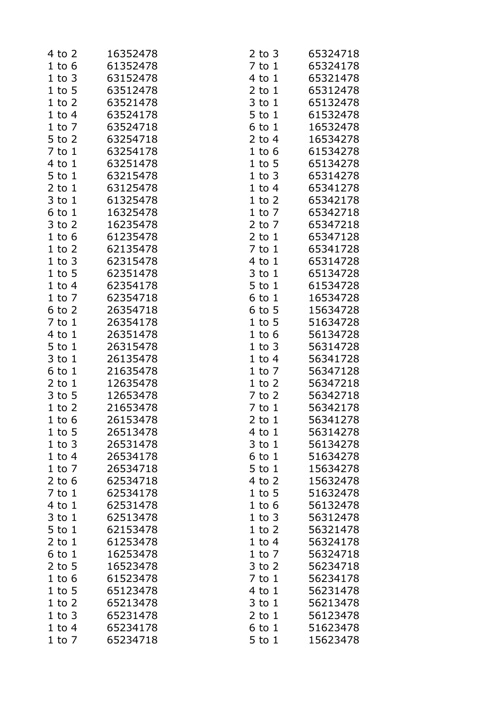| 4 to 2     | 16352478 | $2$ to $3$ | 65324718 |
|------------|----------|------------|----------|
| $1$ to $6$ | 61352478 | $7$ to $1$ | 65324178 |
| $1$ to $3$ | 63152478 | 4 to 1     | 65321478 |
| $1$ to $5$ | 63512478 | $2$ to $1$ | 65312478 |
| $1$ to $2$ | 63521478 | $3$ to $1$ | 65132478 |
| $1$ to $4$ | 63524178 | 5 to 1     | 61532478 |
| $1$ to $7$ | 63524718 | $6$ to $1$ | 16532478 |
| 5 to 2     | 63254718 | $2$ to 4   | 16534278 |
| $7$ to $1$ | 63254178 | $1$ to $6$ | 61534278 |
| $4$ to $1$ | 63251478 | $1$ to $5$ | 65134278 |
| $5$ to $1$ | 63215478 | $1$ to $3$ | 65314278 |
| $2$ to $1$ | 63125478 | $1$ to $4$ | 65341278 |
| $3$ to $1$ | 61325478 | $1$ to $2$ | 65342178 |
| $6$ to $1$ | 16325478 | $1$ to $7$ | 65342718 |
| $3$ to $2$ | 16235478 | $2$ to $7$ | 65347218 |
| $1$ to $6$ | 61235478 | $2$ to $1$ | 65347128 |
| $1$ to $2$ | 62135478 | $7$ to $1$ | 65341728 |
| $1$ to $3$ | 62315478 | $4$ to $1$ | 65314728 |
| $1$ to $5$ | 62351478 | $3$ to $1$ | 65134728 |
| $1$ to $4$ | 62354178 | 5 to 1     | 61534728 |
| $1$ to $7$ | 62354718 | $6$ to $1$ | 16534728 |
| $6$ to $2$ | 26354718 | $6$ to $5$ | 15634728 |
| $7$ to $1$ | 26354178 | $1$ to 5   | 51634728 |
| $4$ to $1$ | 26351478 |            | 56134728 |
|            |          | $1$ to $6$ |          |
| $5$ to $1$ | 26315478 | $1$ to $3$ | 56314728 |
| $3$ to $1$ | 26135478 | $1$ to $4$ | 56341728 |
| $6$ to $1$ | 21635478 | $1$ to $7$ | 56347128 |
| $2$ to $1$ | 12635478 | $1$ to $2$ | 56347218 |
| $3$ to $5$ | 12653478 | $7$ to $2$ | 56342718 |
| $1$ to $2$ | 21653478 | $7$ to $1$ | 56342178 |
| $1$ to $6$ | 26153478 | 2 to 1     | 56341278 |
| $1$ to 5   | 26513478 | 4 to 1     | 56314278 |
| $1$ to $3$ | 26531478 | $3$ to $1$ | 56134278 |
| $1$ to $4$ | 26534178 | $6$ to $1$ | 51634278 |
| $1$ to $7$ | 26534718 | 5 to 1     | 15634278 |
| $2$ to 6   | 62534718 | $4$ to $2$ | 15632478 |
| $7$ to $1$ | 62534178 | $1$ to $5$ | 51632478 |
| 4 to 1     | 62531478 | $1$ to $6$ | 56132478 |
| 3 to 1     | 62513478 | $1$ to $3$ | 56312478 |
| 5 to 1     | 62153478 | $1$ to $2$ | 56321478 |
| $2$ to $1$ | 61253478 | $1$ to $4$ | 56324178 |
| $6$ to $1$ | 16253478 | $1$ to $7$ | 56324718 |
| $2$ to 5   | 16523478 | $3$ to $2$ | 56234718 |
| $1$ to $6$ | 61523478 | $7$ to $1$ | 56234178 |
| $1$ to $5$ | 65123478 | 4 to 1     | 56231478 |
| $1$ to $2$ | 65213478 | $3$ to $1$ | 56213478 |
| $1$ to $3$ | 65231478 | $2$ to $1$ | 56123478 |
| $1$ to $4$ | 65234178 | $6$ to $1$ | 51623478 |
| $1$ to $7$ | 65234718 | $5$ to $1$ | 15623478 |